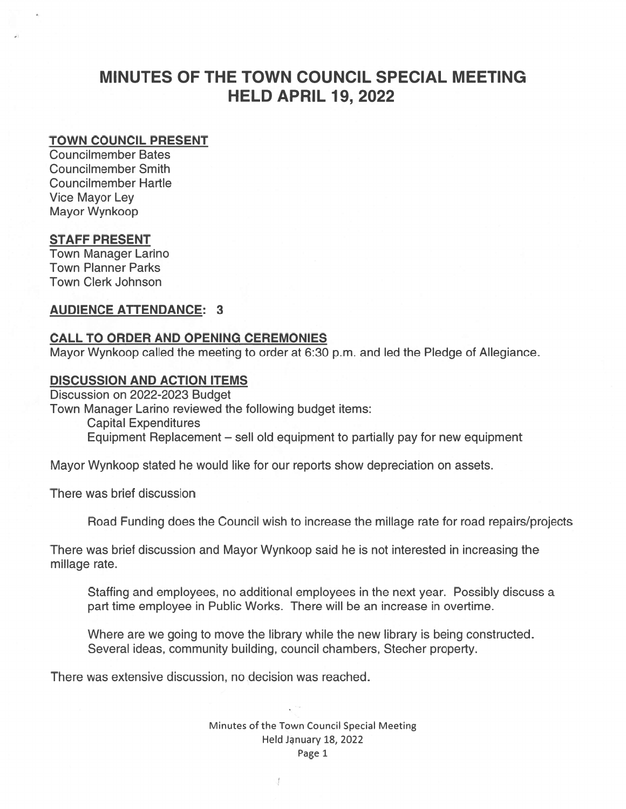# MINUTES OF THE TOWN COUNCIL SPECIAL MEETING HELD APRIL 19, 2022

#### TOWN COUNCIL PRESENT

Councilmember Bates Councilmember Smith Councilmember Hartle Vice Mayor Ley Mayor Wynkoop

#### STAFF PRESENT

Town Manager Larino Town Planner Parks Town Clerk Johnson

#### AUDIENCE ATTENDANCE: 3

#### CALL TO ORDER AND OPENING CEREMONIES

Mayor Wynkoop called the meeting to order at 6:30 p.m. and led the Pledge of Allegiance.

#### DISCUSSION AND ACTION ITEMS

Discussion on 2022-2023 Budget Town Manager Larino reviewed the following budget items: Capital Expenditures Equipment Replacement — sell old equipment to partially pay for new equipment

Mayor Wynkoop stated he would like for our reports show depreciation on assets.

There was brief discussion

Road Funding does the Council wish to increase the millage rate for road repairs/projects

There was brief discussion and Mayor Wynkoop said he is not interested in increasing the millage rate.

Staffing and employees, no additional employees in the next year. Possibly discuss <sup>a</sup> par<sup>t</sup> time employee in Public Works. There will be an increase in overtime.

Where are we going to move the library while the new library is being constructed. Several ideas, community building, council chambers, Stecher property.

There was extensive discussion, no decision was reached.

Minutes of the Town Council Special Meeting Held January 18, 2022 Page 1

J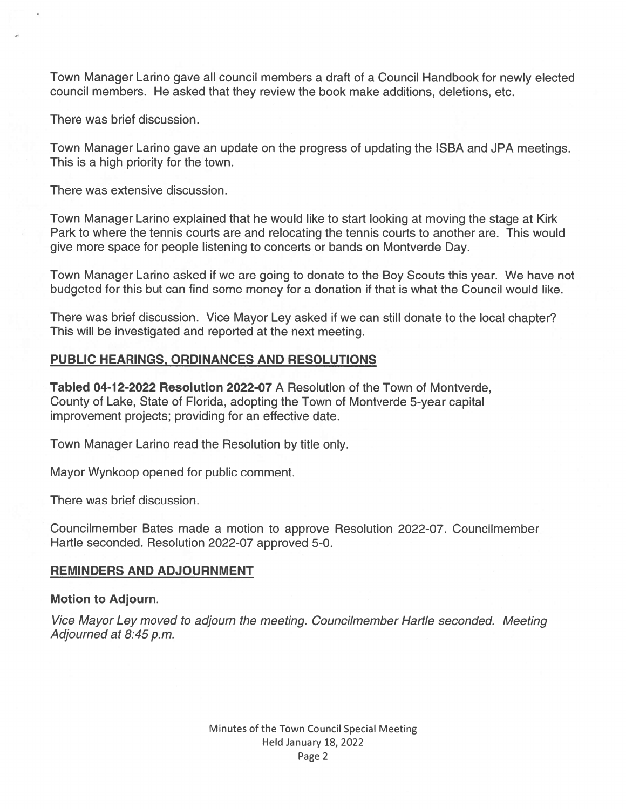Town Manager Larino gave all council members <sup>a</sup> draft of <sup>a</sup> Council Handbook for newly elected council members. He asked that they review the book make additions, deletions, etc.

There was brief discussion.

Town Manager Larino gave an update on the progress of updating the ISBA and JPA meetings. This is <sup>a</sup> high priority for the town.

There was extensive discussion.

Town Manager Larino explained that he would like to start looking at moving the stage at Kirk Park to where the tennis courts are and relocating the tennis courts to another are. This would give more space for people listening to concerts or bands on Montverde Day.

Town Manager Larino asked if we are going to donate to the Boy Scouts this year. We have not budgeted for this but can find some money for <sup>a</sup> donation if that is what the Council would like.

There was brief discussion. Vice Mayor Ley asked if we can still donate to the local chapter? This will be investigated and reported at the next meeting.

# PUBLIC HEARINGS, ORDINANCES AND RESOLUTIONS

Tabled 04-12-2022 Resolution 2022-07 A Resolution of the Town of Montverde, County of Lake, State of Florida, adopting the Town of Montverde 5-year capital improvement projects; providing for an effective date.

Town Manager Larino read the Resolution by title only.

Mayor Wynkoop opened for public comment.

There was brief discussion.

Councilmember Bates made <sup>a</sup> motion to approve Resolution 2022-07. Councilmember Hartle seconded. Resolution 2022-07 approved 5-0.

## REMINDERS AND ADJOURNMENT

## Motion to Adjourn.

Vice Mayor Ley moved to adjourn the meeting. Councilmember Hartle seconded. Meeting Adjourned at 8:45 p.m.